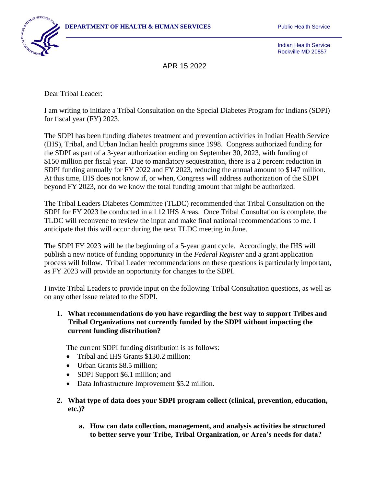

Indian Health Service Rockville MD 20857

APR 15 2022

Dear Tribal Leader:

I am writing to initiate a Tribal Consultation on the Special Diabetes Program for Indians (SDPI) for fiscal year (FY) 2023.

The SDPI has been funding diabetes treatment and prevention activities in Indian Health Service (IHS), Tribal, and Urban Indian health programs since 1998. Congress authorized funding for the SDPI as part of a 3-year authorization ending on September 30, 2023, with funding of \$150 million per fiscal year. Due to mandatory sequestration, there is a 2 percent reduction in SDPI funding annually for FY 2022 and FY 2023, reducing the annual amount to \$147 million. At this time, IHS does not know if, or when, Congress will address authorization of the SDPI beyond FY 2023, nor do we know the total funding amount that might be authorized.

The Tribal Leaders Diabetes Committee (TLDC) recommended that Tribal Consultation on the SDPI for FY 2023 be conducted in all 12 IHS Areas. Once Tribal Consultation is complete, the TLDC will reconvene to review the input and make final national recommendations to me. I anticipate that this will occur during the next TLDC meeting in June.

The SDPI FY 2023 will be the beginning of a 5-year grant cycle. Accordingly, the IHS will publish a new notice of funding opportunity in the *Federal Register* and a grant application process will follow. Tribal Leader recommendations on these questions is particularly important, as FY 2023 will provide an opportunity for changes to the SDPI.

I invite Tribal Leaders to provide input on the following Tribal Consultation questions, as well as on any other issue related to the SDPI.

**1. What recommendations do you have regarding the best way to support Tribes and Tribal Organizations not currently funded by the SDPI without impacting the current funding distribution?**

The current SDPI funding distribution is as follows:

- Tribal and IHS Grants \$130.2 million:
- Urban Grants \$8.5 million;
- SDPI Support \$6.1 million; and
- Data Infrastructure Improvement \$5.2 million.
- **2. What type of data does your SDPI program collect (clinical, prevention, education, etc.)?**
	- **a. How can data collection, management, and analysis activities be structured to better serve your Tribe, Tribal Organization, or Area's needs for data?**